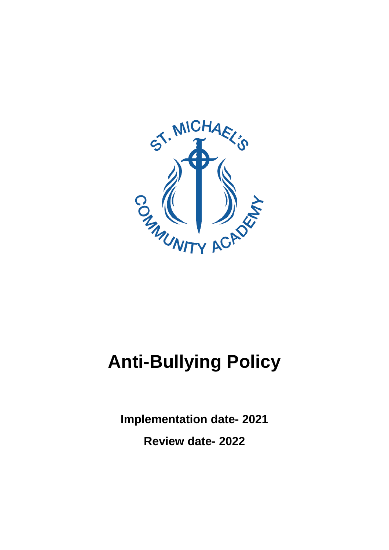

# **Anti-Bullying Policy**

**Implementation date- 2021**

**Review date- 2022**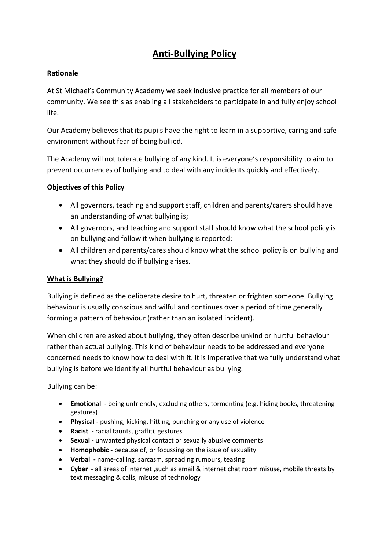# **Anti-Bullying Policy**

### **Rationale**

At St Michael's Community Academy we seek inclusive practice for all members of our community. We see this as enabling all stakeholders to participate in and fully enjoy school life.

Our Academy believes that its pupils have the right to learn in a supportive, caring and safe environment without fear of being bullied.

The Academy will not tolerate bullying of any kind. It is everyone's responsibility to aim to prevent occurrences of bullying and to deal with any incidents quickly and effectively.

#### **Objectives of this Policy**

- All governors, teaching and support staff, children and parents/carers should have an understanding of what bullying is;
- All governors, and teaching and support staff should know what the school policy is on bullying and follow it when bullying is reported;
- All children and parents/cares should know what the school policy is on bullying and what they should do if bullying arises.

#### **What is Bullying?**

Bullying is defined as the deliberate desire to hurt, threaten or frighten someone. Bullying behaviour is usually conscious and wilful and continues over a period of time generally forming a pattern of behaviour (rather than an isolated incident).

When children are asked about bullying, they often describe unkind or hurtful behaviour rather than actual bullying. This kind of behaviour needs to be addressed and everyone concerned needs to know how to deal with it. It is imperative that we fully understand what bullying is before we identify all hurtful behaviour as bullying.

Bullying can be:

- **Emotional -** being unfriendly, excluding others, tormenting (e.g. hiding books, threatening gestures)
- **Physical -** pushing, kicking, hitting, punching or any use of violence
- **Racist -** racial taunts, graffiti, gestures
- **Sexual -** unwanted physical contact or sexually abusive comments
- **Homophobic -** because of, or focussing on the issue of sexuality
- **Verbal -** name-calling, sarcasm, spreading rumours, teasing
- **Cyber** all areas of internet ,such as email & internet chat room misuse, mobile threats by text messaging & calls, misuse of technology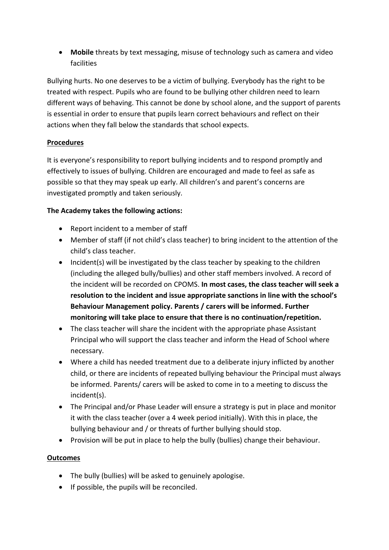**Mobile** threats by text messaging, misuse of technology such as camera and video facilities

Bullying hurts. No one deserves to be a victim of bullying. Everybody has the right to be treated with respect. Pupils who are found to be bullying other children need to learn different ways of behaving. This cannot be done by school alone, and the support of parents is essential in order to ensure that pupils learn correct behaviours and reflect on their actions when they fall below the standards that school expects.

# **Procedures**

It is everyone's responsibility to report bullying incidents and to respond promptly and effectively to issues of bullying. Children are encouraged and made to feel as safe as possible so that they may speak up early. All children's and parent's concerns are investigated promptly and taken seriously.

#### **The Academy takes the following actions:**

- Report incident to a member of staff
- Member of staff (if not child's class teacher) to bring incident to the attention of the child's class teacher.
- Incident(s) will be investigated by the class teacher by speaking to the children (including the alleged bully/bullies) and other staff members involved. A record of the incident will be recorded on CPOMS. **In most cases, the class teacher will seek a resolution to the incident and issue appropriate sanctions in line with the school's Behaviour Management policy. Parents / carers will be informed. Further monitoring will take place to ensure that there is no continuation/repetition.**
- The class teacher will share the incident with the appropriate phase Assistant Principal who will support the class teacher and inform the Head of School where necessary.
- Where a child has needed treatment due to a deliberate injury inflicted by another child, or there are incidents of repeated bullying behaviour the Principal must always be informed. Parents/ carers will be asked to come in to a meeting to discuss the incident(s).
- The Principal and/or Phase Leader will ensure a strategy is put in place and monitor it with the class teacher (over a 4 week period initially). With this in place, the bullying behaviour and / or threats of further bullying should stop.
- Provision will be put in place to help the bully (bullies) change their behaviour.

# **Outcomes**

- The bully (bullies) will be asked to genuinely apologise.
- If possible, the pupils will be reconciled.